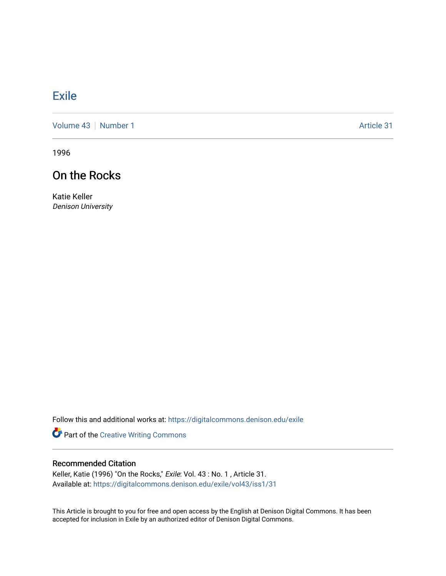# **[Exile](https://digitalcommons.denison.edu/exile)**

[Volume 43](https://digitalcommons.denison.edu/exile/vol43) | [Number 1](https://digitalcommons.denison.edu/exile/vol43/iss1) Article 31

1996

# On the Rocks

Katie Keller Denison University

Follow this and additional works at: [https://digitalcommons.denison.edu/exile](https://digitalcommons.denison.edu/exile?utm_source=digitalcommons.denison.edu%2Fexile%2Fvol43%2Fiss1%2F31&utm_medium=PDF&utm_campaign=PDFCoverPages) 

Part of the [Creative Writing Commons](http://network.bepress.com/hgg/discipline/574?utm_source=digitalcommons.denison.edu%2Fexile%2Fvol43%2Fiss1%2F31&utm_medium=PDF&utm_campaign=PDFCoverPages) 

# Recommended Citation

Keller, Katie (1996) "On the Rocks," Exile: Vol. 43 : No. 1 , Article 31. Available at: [https://digitalcommons.denison.edu/exile/vol43/iss1/31](https://digitalcommons.denison.edu/exile/vol43/iss1/31?utm_source=digitalcommons.denison.edu%2Fexile%2Fvol43%2Fiss1%2F31&utm_medium=PDF&utm_campaign=PDFCoverPages)

This Article is brought to you for free and open access by the English at Denison Digital Commons. It has been accepted for inclusion in Exile by an authorized editor of Denison Digital Commons.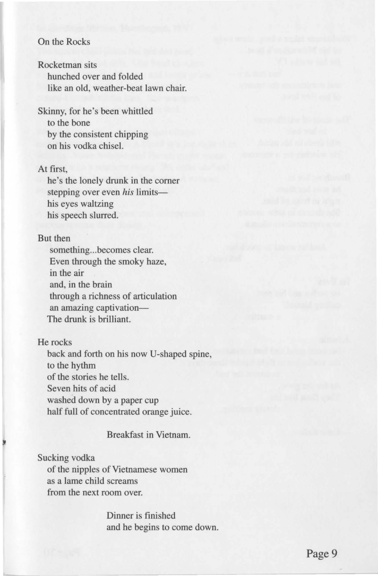## On the Rocks

Rocketman sits hunched over and folded like an old, weather-beat lawn chair.

Skinny, for he's been whittled to the bone by the consistent chipping on his vodka chisel.

#### At first,

he's the lonely drunk in the corner stepping over even *his* limitshis eyes waltzing his speech slurred.

## But then

something...becomes clear. Even through the smoky haze, in the air and, in the brain through a richness of articulation an amazing captivation-The drunk is brilliant.

### He rocks

back and forth on his now U-shaped spine, to the hythm of the stories he tells. Seven hits of acid washed down by a paper cup half full of concentrated orange juice.

# Breakfast in Vietnam.

Sucking vodka of the nipples of Vietnamese women as a lame child screams from the next room over.

> Dinner is finished and he begins to come down.